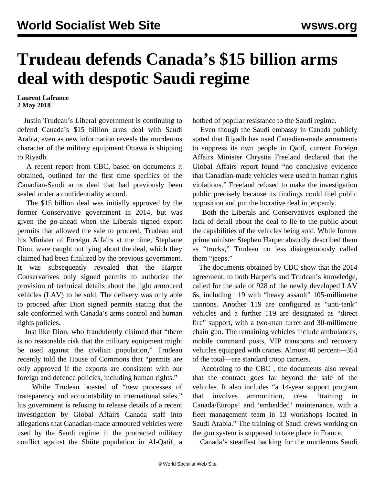## **Trudeau defends Canada's \$15 billion arms deal with despotic Saudi regime**

**Laurent Lafrance 2 May 2018**

 Justin Trudeau's Liberal government is continuing to defend Canada's \$15 billion arms deal with Saudi Arabia, even as new information reveals the murderous character of the military equipment Ottawa is shipping to Riyadh.

 A recent report from CBC, based on documents it obtained, outlined for the first time specifics of the Canadian-Saudi arms deal that had previously been sealed under a confidentiality accord.

 The \$15 billion deal was initially approved by the former Conservative government in 2014, but was given the go-ahead when the Liberals signed export permits that allowed the sale to proceed. Trudeau and his Minister of Foreign Affairs at the time, Stephane Dion, were caught out lying about the deal, which they claimed had been finalized by the previous government. It was subsequently revealed that the Harper Conservatives only signed permits to authorize the provision of technical details about the light armoured vehicles (LAV) to be sold. The delivery was only able to proceed after Dion signed permits stating that the sale conformed with Canada's arms control and human rights policies.

 Just like Dion, who fraudulently claimed that "there is no reasonable risk that the military equipment might be used against the civilian population," Trudeau recently told the House of Commons that "permits are only approved if the exports are consistent with our foreign and defence policies, including human rights."

 While Trudeau boasted of "new processes of transparency and accountability to international sales," his government is refusing to release details of a recent investigation by Global Affairs Canada staff into allegations that Canadian-made armoured vehicles were used by the Saudi regime in the protracted military conflict against the Shiite population in Al-Qatif, a

hotbed of popular resistance to the Saudi regime.

 Even though the Saudi embassy in Canada publicly stated that Riyadh has used Canadian-made armaments to suppress its own people in Qatif, current Foreign Affairs Minister Chrystia Freeland declared that the Global Affairs report found "no conclusive evidence that Canadian-made vehicles were used in human rights violations." Freeland refused to make the investigation public precisely because its findings could fuel public opposition and put the lucrative deal in jeopardy.

 Both the Liberals and Conservatives exploited the lack of detail about the deal to lie to the public about the capabilities of the vehicles being sold. While former prime minister Stephen Harper absurdly described them as "trucks," Trudeau no less disingenuously called them "jeeps."

 The documents obtained by CBC show that the 2014 agreement, to both Harper's and Trudeau's knowledge, called for the sale of 928 of the newly developed LAV 6s, including 119 with "heavy assault" 105-millimetre cannons. Another 119 are configured as "anti-tank" vehicles and a further 119 are designated as "direct fire" support, with a two-man turret and 30-millimetre chain gun. The remaining vehicles include ambulances, mobile command posts, VIP transports and recovery vehicles equipped with cranes. Almost 40 percent—354 of the total—are standard troop carriers.

 According to the CBC *,* the documents also reveal that the contract goes far beyond the sale of the vehicles. It also includes "a 14-year support program that involves ammunition, crew 'training' Canada/Europe' and 'embedded' maintenance, with a fleet management team in 13 workshops located in Saudi Arabia." The training of Saudi crews working on the gun system is supposed to take place in France.

Canada's steadfast backing for the murderous Saudi